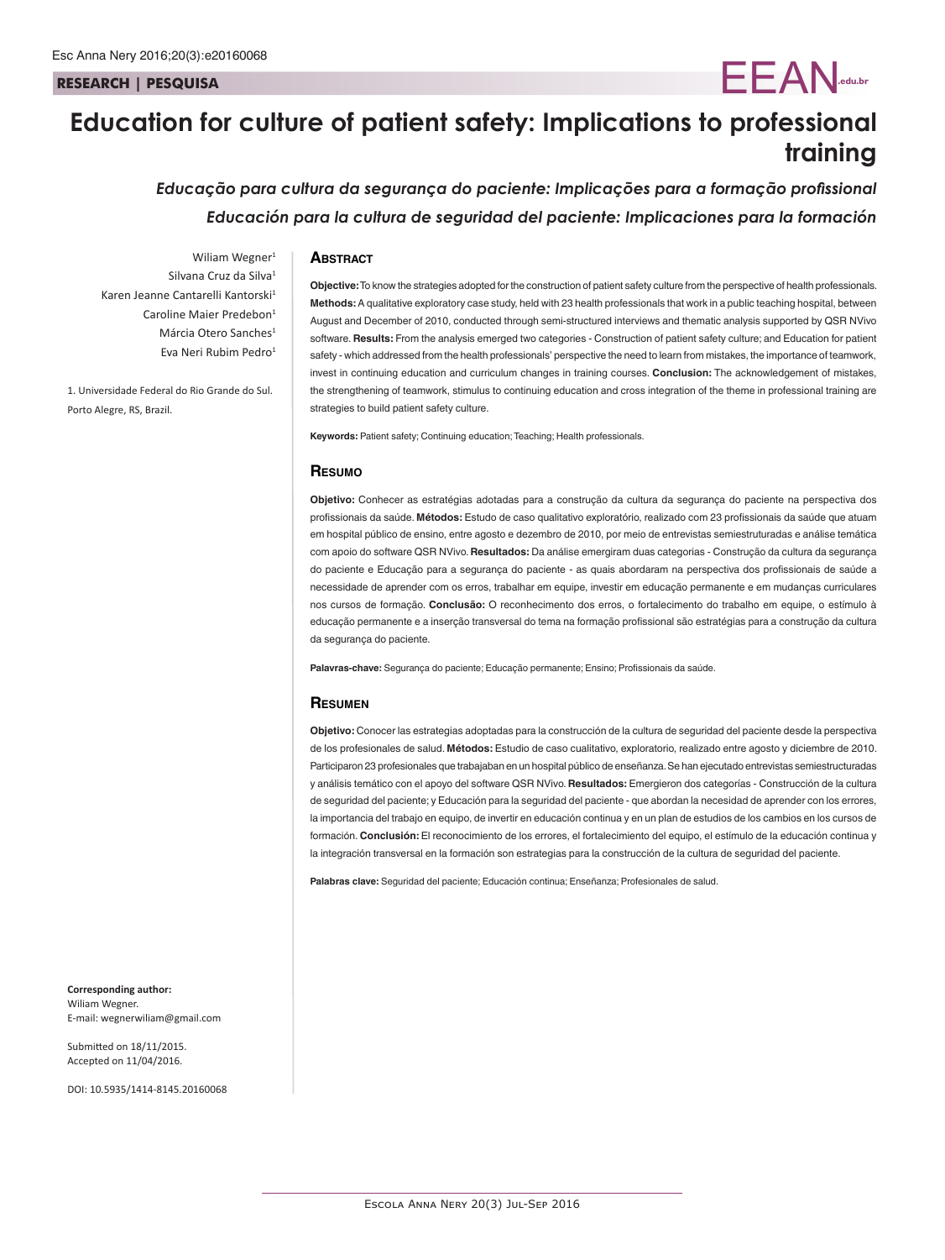**RESEARCH | PESQUISA**

# **Education for culture of patient safety: Implications to professional training**

*Educação para cultura da segurança do paciente: Implicações para a formação profissional Educación para la cultura de seguridad del paciente: Implicaciones para la formación*

## **Abstract**

Wiliam Wegner<sup>1</sup> Silvana Cruz da Silva<sup>1</sup> Karen Jeanne Cantarelli Kantorski<sup>1</sup> Caroline Maier Predebon<sup>1</sup> Márcia Otero Sanches<sup>1</sup> Eva Neri Rubim Pedro1

1. Universidade Federal do Rio Grande do Sul. Porto Alegre, RS, Brazil.

**Objective:** To know the strategies adopted for the construction of patient safety culture from the perspective of health professionals. **Methods:** A qualitative exploratory case study, held with 23 health professionals that work in a public teaching hospital, between August and December of 2010, conducted through semi-structured interviews and thematic analysis supported by QSR NVivo software. **Results:** From the analysis emerged two categories - Construction of patient safety culture; and Education for patient safety - which addressed from the health professionals' perspective the need to learn from mistakes, the importance of teamwork, invest in continuing education and curriculum changes in training courses. **Conclusion:** The acknowledgement of mistakes, the strengthening of teamwork, stimulus to continuing education and cross integration of the theme in professional training are strategies to build patient safety culture.

EEAN**.edu.br**

**Keywords:** Patient safety; Continuing education; Teaching; Health professionals.

#### **Resumo**

**Objetivo:** Conhecer as estratégias adotadas para a construção da cultura da segurança do paciente na perspectiva dos profissionais da saúde. **Métodos:** Estudo de caso qualitativo exploratório, realizado com 23 profissionais da saúde que atuam em hospital público de ensino, entre agosto e dezembro de 2010, por meio de entrevistas semiestruturadas e análise temática com apoio do software QSR NVivo. **Resultados:** Da análise emergiram duas categorias - Construção da cultura da segurança do paciente e Educação para a segurança do paciente - as quais abordaram na perspectiva dos profissionais de saúde a necessidade de aprender com os erros, trabalhar em equipe, investir em educação permanente e em mudanças curriculares nos cursos de formação. **Conclusão:** O reconhecimento dos erros, o fortalecimento do trabalho em equipe, o estímulo à educação permanente e a inserção transversal do tema na formação profissional são estratégias para a construção da cultura da segurança do paciente.

**Palavras-chave:** Segurança do paciente; Educação permanente; Ensino; Profissionais da saúde.

#### **Resumen**

**Objetivo:** Conocer las estrategias adoptadas para la construcción de la cultura de seguridad del paciente desde la perspectiva de los profesionales de salud. **Métodos:** Estudio de caso cualitativo, exploratorio, realizado entre agosto y diciembre de 2010. Participaron 23 profesionales que trabajaban en un hospital público de enseñanza. Se han ejecutado entrevistas semiestructuradas y análisis temático con el apoyo del software QSR NVivo. **Resultados:** Emergieron dos categorías - Construcción de la cultura de seguridad del paciente; y Educación para la seguridad del paciente - que abordan la necesidad de aprender con los errores, la importancia del trabajo en equipo, de invertir en educación continua y en un plan de estudios de los cambios en los cursos de formación. **Conclusión:** El reconocimiento de los errores, el fortalecimiento del equipo, el estímulo de la educación continua y la integración transversal en la formación son estrategias para la construcción de la cultura de seguridad del paciente.

**Palabras clave:** Seguridad del paciente; Educación continua; Enseñanza; Profesionales de salud.

**Corresponding author:** Wiliam Wegner. E-mail: wegnerwiliam@gmail.com

Submitted on 18/11/2015. Accepted on 11/04/2016.

DOI: 10.5935/1414-8145.20160068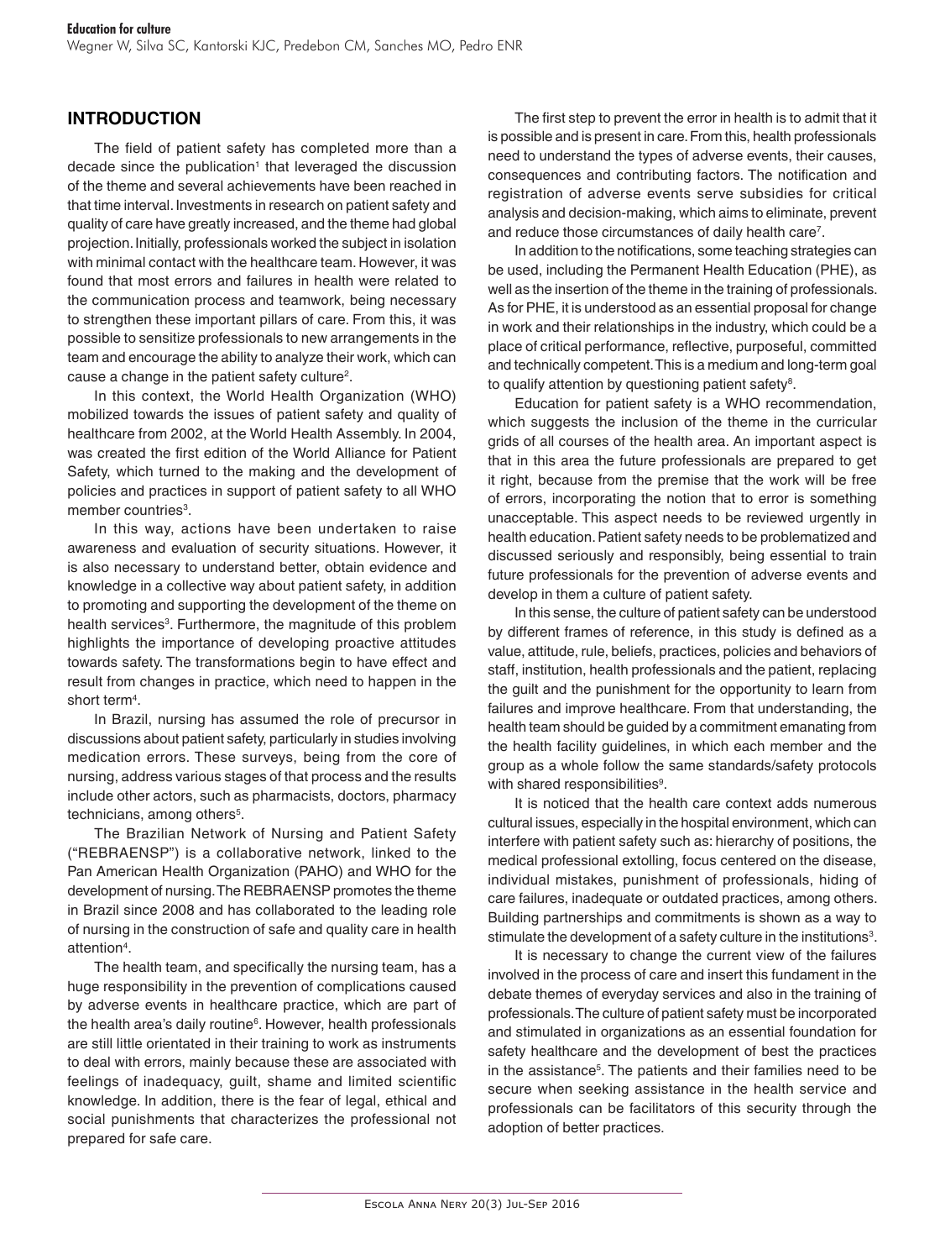# **INTRODUCTION**

The field of patient safety has completed more than a decade since the publication<sup>1</sup> that leveraged the discussion of the theme and several achievements have been reached in that time interval. Investments in research on patient safety and quality of care have greatly increased, and the theme had global projection. Initially, professionals worked the subject in isolation with minimal contact with the healthcare team. However, it was found that most errors and failures in health were related to the communication process and teamwork, being necessary to strengthen these important pillars of care. From this, it was possible to sensitize professionals to new arrangements in the team and encourage the ability to analyze their work, which can cause a change in the patient safety culture<sup>2</sup>.

In this context, the World Health Organization (WHO) mobilized towards the issues of patient safety and quality of healthcare from 2002, at the World Health Assembly. In 2004, was created the first edition of the World Alliance for Patient Safety, which turned to the making and the development of policies and practices in support of patient safety to all WHO member countries<sup>3</sup>.

In this way, actions have been undertaken to raise awareness and evaluation of security situations. However, it is also necessary to understand better, obtain evidence and knowledge in a collective way about patient safety, in addition to promoting and supporting the development of the theme on health services<sup>3</sup>. Furthermore, the magnitude of this problem highlights the importance of developing proactive attitudes towards safety. The transformations begin to have effect and result from changes in practice, which need to happen in the short term<sup>4</sup>.

In Brazil, nursing has assumed the role of precursor in discussions about patient safety, particularly in studies involving medication errors. These surveys, being from the core of nursing, address various stages of that process and the results include other actors, such as pharmacists, doctors, pharmacy technicians, among others<sup>5</sup>.

The Brazilian Network of Nursing and Patient Safety ("REBRAENSP") is a collaborative network, linked to the Pan American Health Organization (PAHO) and WHO for the development of nursing. The REBRAENSP promotes the theme in Brazil since 2008 and has collaborated to the leading role of nursing in the construction of safe and quality care in health attention<sup>4</sup>.

The health team, and specifically the nursing team, has a huge responsibility in the prevention of complications caused by adverse events in healthcare practice, which are part of the health area's daily routine<sup>6</sup>. However, health professionals are still little orientated in their training to work as instruments to deal with errors, mainly because these are associated with feelings of inadequacy, guilt, shame and limited scientific knowledge. In addition, there is the fear of legal, ethical and social punishments that characterizes the professional not prepared for safe care.

The first step to prevent the error in health is to admit that it is possible and is present in care. From this, health professionals need to understand the types of adverse events, their causes, consequences and contributing factors. The notification and registration of adverse events serve subsidies for critical analysis and decision-making, which aims to eliminate, prevent and reduce those circumstances of daily health care7 .

In addition to the notifications, some teaching strategies can be used, including the Permanent Health Education (PHE), as well as the insertion of the theme in the training of professionals. As for PHE, it is understood as an essential proposal for change in work and their relationships in the industry, which could be a place of critical performance, reflective, purposeful, committed and technically competent. This is a medium and long-term goal to qualify attention by questioning patient safety $^{\mathrm{s}}$ .

Education for patient safety is a WHO recommendation, which suggests the inclusion of the theme in the curricular grids of all courses of the health area. An important aspect is that in this area the future professionals are prepared to get it right, because from the premise that the work will be free of errors, incorporating the notion that to error is something unacceptable. This aspect needs to be reviewed urgently in health education. Patient safety needs to be problematized and discussed seriously and responsibly, being essential to train future professionals for the prevention of adverse events and develop in them a culture of patient safety.

In this sense, the culture of patient safety can be understood by different frames of reference, in this study is defined as a value, attitude, rule, beliefs, practices, policies and behaviors of staff, institution, health professionals and the patient, replacing the guilt and the punishment for the opportunity to learn from failures and improve healthcare. From that understanding, the health team should be guided by a commitment emanating from the health facility guidelines, in which each member and the group as a whole follow the same standards/safety protocols with shared responsibilities<sup>9</sup>.

It is noticed that the health care context adds numerous cultural issues, especially in the hospital environment, which can interfere with patient safety such as: hierarchy of positions, the medical professional extolling, focus centered on the disease, individual mistakes, punishment of professionals, hiding of care failures, inadequate or outdated practices, among others. Building partnerships and commitments is shown as a way to stimulate the development of a safety culture in the institutions $3$ .

It is necessary to change the current view of the failures involved in the process of care and insert this fundament in the debate themes of everyday services and also in the training of professionals. The culture of patient safety must be incorporated and stimulated in organizations as an essential foundation for safety healthcare and the development of best the practices in the assistance5 . The patients and their families need to be secure when seeking assistance in the health service and professionals can be facilitators of this security through the adoption of better practices.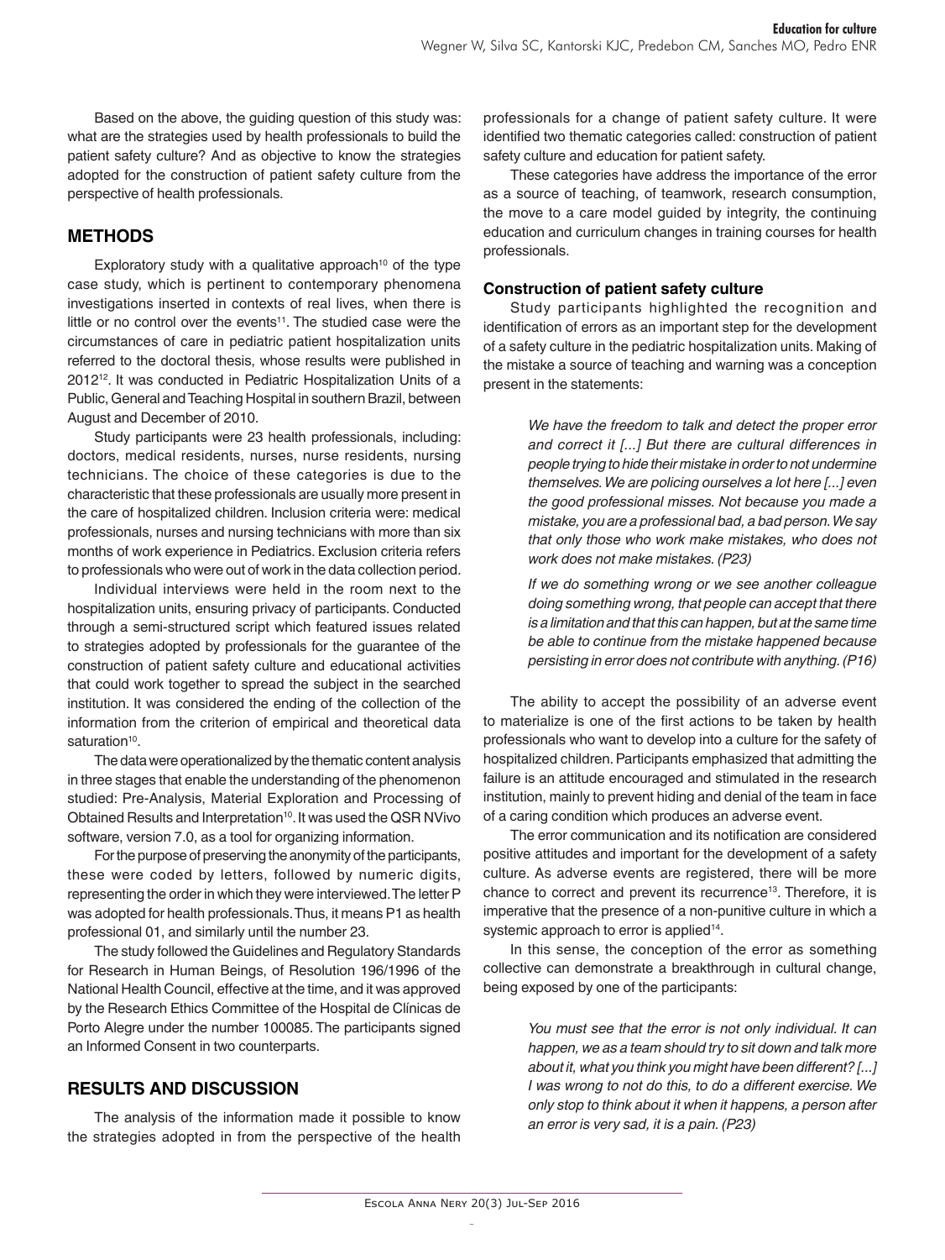Based on the above, the guiding question of this study was: what are the strategies used by health professionals to build the patient safety culture? And as objective to know the strategies adopted for the construction of patient safety culture from the perspective of health professionals.

# **METHODS**

Exploratory study with a qualitative approach<sup>10</sup> of the type case study, which is pertinent to contemporary phenomena investigations inserted in contexts of real lives, when there is little or no control over the events<sup>11</sup>. The studied case were the circumstances of care in pediatric patient hospitalization units referred to the doctoral thesis, whose results were published in 201212. It was conducted in Pediatric Hospitalization Units of a Public, General and Teaching Hospital in southern Brazil, between August and December of 2010.

Study participants were 23 health professionals, including: doctors, medical residents, nurses, nurse residents, nursing technicians. The choice of these categories is due to the characteristic that these professionals are usually more present in the care of hospitalized children. Inclusion criteria were: medical professionals, nurses and nursing technicians with more than six months of work experience in Pediatrics. Exclusion criteria refers to professionals who were out of work in the data collection period.

Individual interviews were held in the room next to the hospitalization units, ensuring privacy of participants. Conducted through a semi-structured script which featured issues related to strategies adopted by professionals for the guarantee of the construction of patient safety culture and educational activities that could work together to spread the subject in the searched institution. It was considered the ending of the collection of the information from the criterion of empirical and theoretical data saturation<sup>10</sup>.

The data were operationalized by the thematic content analysis in three stages that enable the understanding of the phenomenon studied: Pre-Analysis, Material Exploration and Processing of Obtained Results and Interpretation<sup>10</sup>. It was used the QSR NVivo software, version 7.0, as a tool for organizing information.

For the purpose of preserving the anonymity of the participants, these were coded by letters, followed by numeric digits, representing the order in which they were interviewed. The letter P was adopted for health professionals. Thus, it means P1 as health professional 01, and similarly until the number 23.

The study followed the Guidelines and Regulatory Standards for Research in Human Beings, of Resolution 196/1996 of the National Health Council, effective at the time, and it was approved by the Research Ethics Committee of the Hospital de Clínicas de Porto Alegre under the number 100085. The participants signed an Informed Consent in two counterparts.

## **RESULTS AND DISCUSSION**

The analysis of the information made it possible to know the strategies adopted in from the perspective of the health

professionals for a change of patient safety culture. It were identified two thematic categories called: construction of patient safety culture and education for patient safety.

These categories have address the importance of the error as a source of teaching, of teamwork, research consumption, the move to a care model guided by integrity, the continuing education and curriculum changes in training courses for health professionals.

## **Construction of patient safety culture**

Study participants highlighted the recognition and identification of errors as an important step for the development of a safety culture in the pediatric hospitalization units. Making of the mistake a source of teaching and warning was a conception present in the statements:

> *We have the freedom to talk and detect the proper error and correct it [...] But there are cultural differences in people trying to hide their mistake in order to not undermine themselves. We are policing ourselves a lot here [...] even the good professional misses. Not because you made a mistake, you are a professional bad, a bad person. We say that only those who work make mistakes, who does not work does not make mistakes. (P23)*

> *If we do something wrong or we see another colleague doing something wrong, that people can accept that there is a limitation and that this can happen, but at the same time be able to continue from the mistake happened because persisting in error does not contribute with anything. (P16)*

The ability to accept the possibility of an adverse event to materialize is one of the first actions to be taken by health professionals who want to develop into a culture for the safety of hospitalized children. Participants emphasized that admitting the failure is an attitude encouraged and stimulated in the research institution, mainly to prevent hiding and denial of the team in face of a caring condition which produces an adverse event.

The error communication and its notification are considered positive attitudes and important for the development of a safety culture. As adverse events are registered, there will be more chance to correct and prevent its recurrence<sup>13</sup>. Therefore, it is imperative that the presence of a non-punitive culture in which a systemic approach to error is applied<sup>14</sup>.

In this sense, the conception of the error as something collective can demonstrate a breakthrough in cultural change, being exposed by one of the participants:

> *You must see that the error is not only individual. It can happen, we as a team should try to sit down and talk more about it, what you think you might have been different? [...] I was wrong to not do this, to do a different exercise. We only stop to think about it when it happens, a person after an error is very sad, it is a pain. (P23)*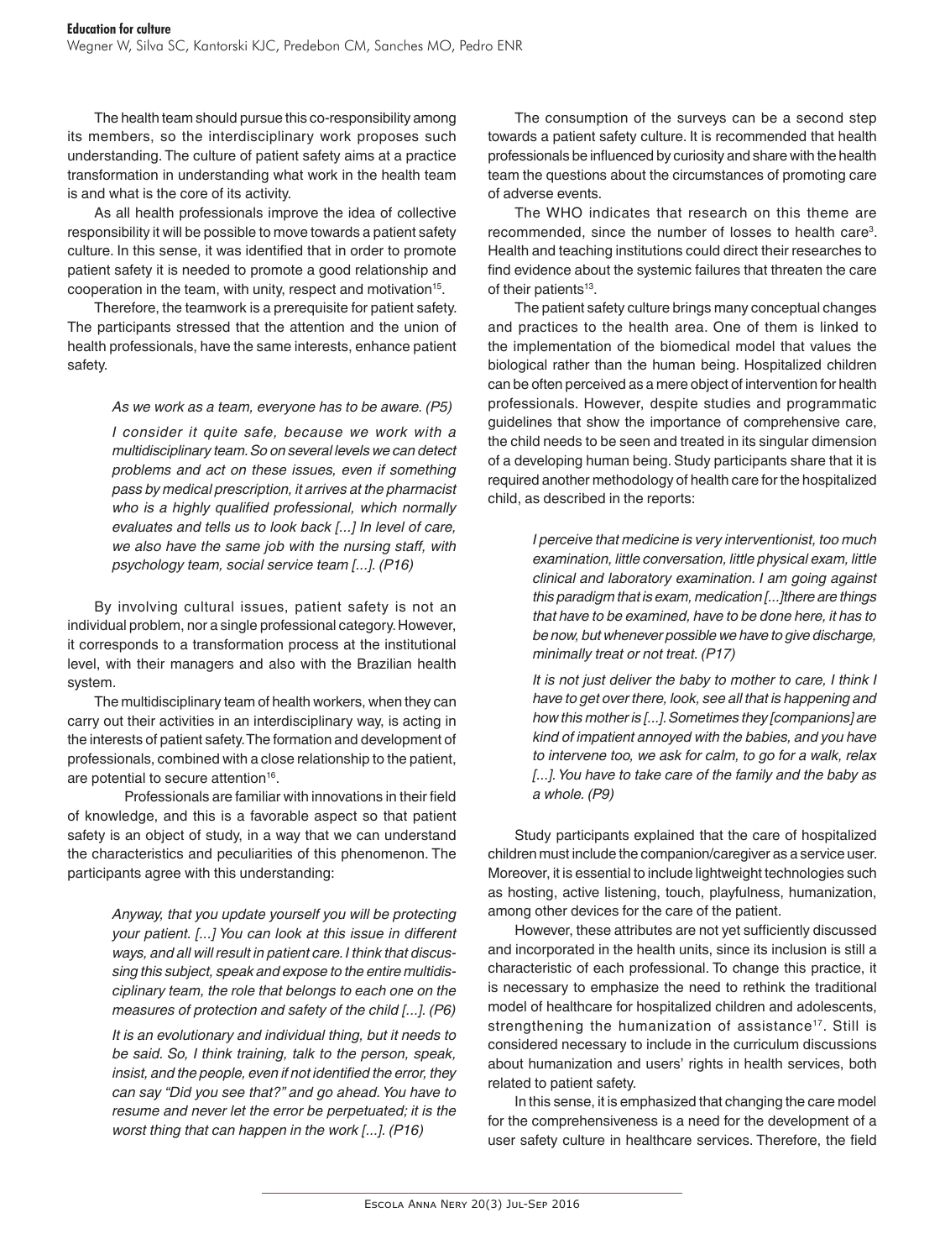The health team should pursue this co-responsibility among its members, so the interdisciplinary work proposes such understanding. The culture of patient safety aims at a practice transformation in understanding what work in the health team is and what is the core of its activity.

As all health professionals improve the idea of collective responsibility it will be possible to move towards a patient safety culture. In this sense, it was identified that in order to promote patient safety it is needed to promote a good relationship and cooperation in the team, with unity, respect and motivation<sup>15</sup>.

Therefore, the teamwork is a prerequisite for patient safety. The participants stressed that the attention and the union of health professionals, have the same interests, enhance patient safety.

*As we work as a team, everyone has to be aware. (P5)*

*I consider it quite safe, because we work with a multidisciplinary team. So on several levels we can detect problems and act on these issues, even if something pass by medical prescription, it arrives at the pharmacist who is a highly qualified professional, which normally evaluates and tells us to look back [...] In level of care, we also have the same job with the nursing staff, with psychology team, social service team [...]. (P16)*

By involving cultural issues, patient safety is not an individual problem, nor a single professional category. However, it corresponds to a transformation process at the institutional level, with their managers and also with the Brazilian health system.

The multidisciplinary team of health workers, when they can carry out their activities in an interdisciplinary way, is acting in the interests of patient safety. The formation and development of professionals, combined with a close relationship to the patient, are potential to secure attention<sup>16</sup>.

Professionals are familiar with innovations in their field of knowledge, and this is a favorable aspect so that patient safety is an object of study, in a way that we can understand the characteristics and peculiarities of this phenomenon. The participants agree with this understanding:

> *Anyway, that you update yourself you will be protecting your patient. [...] You can look at this issue in different ways, and all will result in patient care. I think that discussing this subject, speak and expose to the entire multidisciplinary team, the role that belongs to each one on the measures of protection and safety of the child [...]. (P6)*

> *It is an evolutionary and individual thing, but it needs to be said. So, I think training, talk to the person, speak, insist, and the people, even if not identified the error, they can say "Did you see that?" and go ahead. You have to resume and never let the error be perpetuated; it is the worst thing that can happen in the work [...]. (P16)*

The consumption of the surveys can be a second step towards a patient safety culture. It is recommended that health professionals be influenced by curiosity and share with the health team the questions about the circumstances of promoting care of adverse events.

The WHO indicates that research on this theme are recommended, since the number of losses to health care<sup>3</sup>. Health and teaching institutions could direct their researches to find evidence about the systemic failures that threaten the care of their patients<sup>13</sup>.

The patient safety culture brings many conceptual changes and practices to the health area. One of them is linked to the implementation of the biomedical model that values the biological rather than the human being. Hospitalized children can be often perceived as a mere object of intervention for health professionals. However, despite studies and programmatic guidelines that show the importance of comprehensive care, the child needs to be seen and treated in its singular dimension of a developing human being. Study participants share that it is required another methodology of health care for the hospitalized child, as described in the reports:

> *I perceive that medicine is very interventionist, too much examination, little conversation, little physical exam, little clinical and laboratory examination. I am going against this paradigm that is exam, medication [...]there are things that have to be examined, have to be done here, it has to be now, but whenever possible we have to give discharge, minimally treat or not treat. (P17)*

> *It is not just deliver the baby to mother to care, I think I have to get over there, look, see all that is happening and how this mother is [...]. Sometimes they [companions] are kind of impatient annoyed with the babies, and you have to intervene too, we ask for calm, to go for a walk, relax [...]. You have to take care of the family and the baby as a whole. (P9)*

Study participants explained that the care of hospitalized children must include the companion/caregiver as a service user. Moreover, it is essential to include lightweight technologies such as hosting, active listening, touch, playfulness, humanization, among other devices for the care of the patient.

However, these attributes are not yet sufficiently discussed and incorporated in the health units, since its inclusion is still a characteristic of each professional. To change this practice, it is necessary to emphasize the need to rethink the traditional model of healthcare for hospitalized children and adolescents, strengthening the humanization of assistance<sup>17</sup>. Still is considered necessary to include in the curriculum discussions about humanization and users' rights in health services, both related to patient safety.

In this sense, it is emphasized that changing the care model for the comprehensiveness is a need for the development of a user safety culture in healthcare services. Therefore, the field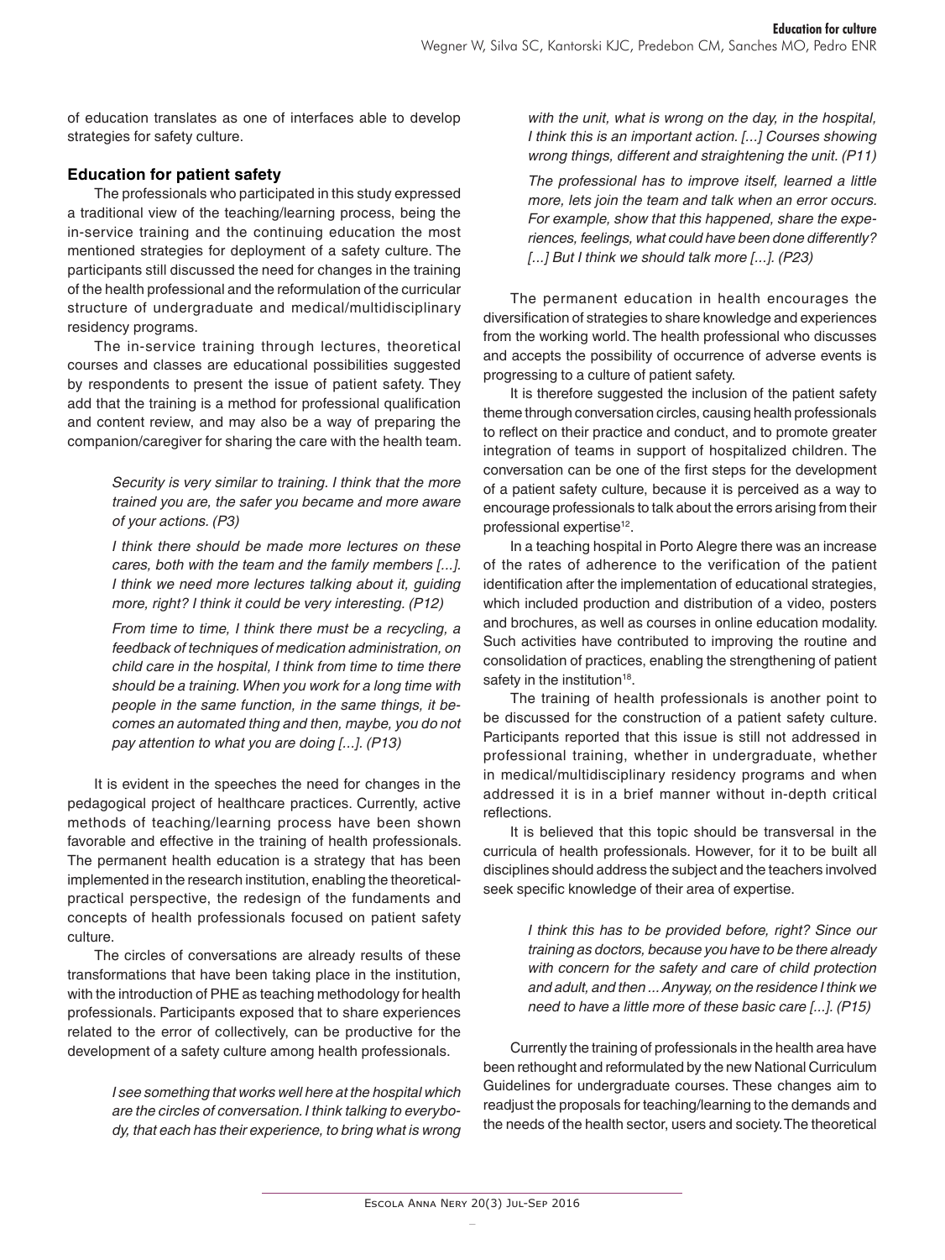of education translates as one of interfaces able to develop strategies for safety culture.

## **Education for patient safety**

The professionals who participated in this study expressed a traditional view of the teaching/learning process, being the in-service training and the continuing education the most mentioned strategies for deployment of a safety culture. The participants still discussed the need for changes in the training of the health professional and the reformulation of the curricular structure of undergraduate and medical/multidisciplinary residency programs.

The in-service training through lectures, theoretical courses and classes are educational possibilities suggested by respondents to present the issue of patient safety. They add that the training is a method for professional qualification and content review, and may also be a way of preparing the companion/caregiver for sharing the care with the health team.

> *Security is very similar to training. I think that the more trained you are, the safer you became and more aware of your actions. (P3)*

> *I think there should be made more lectures on these cares, both with the team and the family members [...]. I think we need more lectures talking about it, guiding more, right? I think it could be very interesting. (P12)*

> *From time to time, I think there must be a recycling, a feedback of techniques of medication administration, on child care in the hospital, I think from time to time there should be a training. When you work for a long time with people in the same function, in the same things, it becomes an automated thing and then, maybe, you do not pay attention to what you are doing [...]. (P13)*

It is evident in the speeches the need for changes in the pedagogical project of healthcare practices. Currently, active methods of teaching/learning process have been shown favorable and effective in the training of health professionals. The permanent health education is a strategy that has been implemented in the research institution, enabling the theoreticalpractical perspective, the redesign of the fundaments and concepts of health professionals focused on patient safety culture.

The circles of conversations are already results of these transformations that have been taking place in the institution, with the introduction of PHE as teaching methodology for health professionals. Participants exposed that to share experiences related to the error of collectively, can be productive for the development of a safety culture among health professionals.

> *I see something that works well here at the hospital which are the circles of conversation. I think talking to everybody, that each has their experience, to bring what is wrong*

*with the unit, what is wrong on the day, in the hospital, I think this is an important action. [...] Courses showing wrong things, different and straightening the unit. (P11)*

*The professional has to improve itself, learned a little more, lets join the team and talk when an error occurs. For example, show that this happened, share the experiences, feelings, what could have been done differently? [...] But I think we should talk more [...]. (P23)*

The permanent education in health encourages the diversification of strategies to share knowledge and experiences from the working world. The health professional who discusses and accepts the possibility of occurrence of adverse events is progressing to a culture of patient safety.

It is therefore suggested the inclusion of the patient safety theme through conversation circles, causing health professionals to reflect on their practice and conduct, and to promote greater integration of teams in support of hospitalized children. The conversation can be one of the first steps for the development of a patient safety culture, because it is perceived as a way to encourage professionals to talk about the errors arising from their professional expertise<sup>12</sup>.

In a teaching hospital in Porto Alegre there was an increase of the rates of adherence to the verification of the patient identification after the implementation of educational strategies, which included production and distribution of a video, posters and brochures, as well as courses in online education modality. Such activities have contributed to improving the routine and consolidation of practices, enabling the strengthening of patient safety in the institution<sup>18</sup>.

The training of health professionals is another point to be discussed for the construction of a patient safety culture. Participants reported that this issue is still not addressed in professional training, whether in undergraduate, whether in medical/multidisciplinary residency programs and when addressed it is in a brief manner without in-depth critical reflections.

It is believed that this topic should be transversal in the curricula of health professionals. However, for it to be built all disciplines should address the subject and the teachers involved seek specific knowledge of their area of expertise.

> *I think this has to be provided before, right? Since our training as doctors, because you have to be there already with concern for the safety and care of child protection and adult, and then ... Anyway, on the residence I think we need to have a little more of these basic care [...]. (P15)*

Currently the training of professionals in the health area have been rethought and reformulated by the new National Curriculum Guidelines for undergraduate courses. These changes aim to readjust the proposals for teaching/learning to the demands and the needs of the health sector, users and society. The theoretical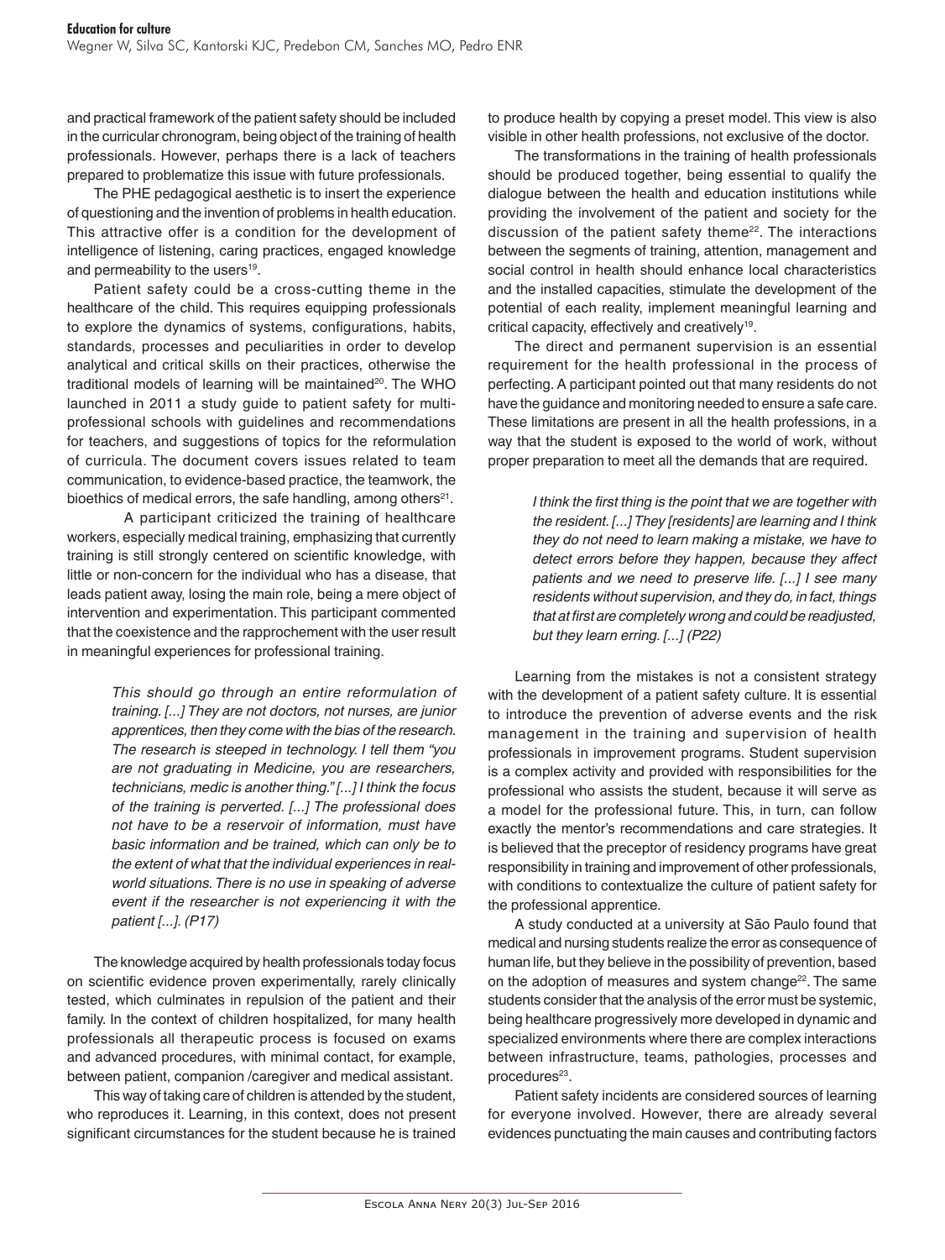and practical framework of the patient safety should be included in the curricular chronogram, being object of the training of health professionals. However, perhaps there is a lack of teachers prepared to problematize this issue with future professionals.

The PHE pedagogical aesthetic is to insert the experience of questioning and the invention of problems in health education. This attractive offer is a condition for the development of intelligence of listening, caring practices, engaged knowledge and permeability to the users<sup>19</sup>.

Patient safety could be a cross-cutting theme in the healthcare of the child. This requires equipping professionals to explore the dynamics of systems, configurations, habits, standards, processes and peculiarities in order to develop analytical and critical skills on their practices, otherwise the traditional models of learning will be maintained<sup>20</sup>. The WHO launched in 2011 a study guide to patient safety for multiprofessional schools with guidelines and recommendations for teachers, and suggestions of topics for the reformulation of curricula. The document covers issues related to team communication, to evidence-based practice, the teamwork, the bioethics of medical errors, the safe handling, among others<sup>21</sup>.

A participant criticized the training of healthcare workers, especially medical training, emphasizing that currently training is still strongly centered on scientific knowledge, with little or non-concern for the individual who has a disease, that leads patient away, losing the main role, being a mere object of intervention and experimentation. This participant commented that the coexistence and the rapprochement with the user result in meaningful experiences for professional training.

> *This should go through an entire reformulation of training. [...] They are not doctors, not nurses, are junior apprentices, then they come with the bias of the research. The research is steeped in technology. I tell them "you are not graduating in Medicine, you are researchers, technicians, medic is another thing." [...] I think the focus of the training is perverted. [...] The professional does not have to be a reservoir of information, must have basic information and be trained, which can only be to the extent of what that the individual experiences in realworld situations. There is no use in speaking of adverse event if the researcher is not experiencing it with the patient [...]. (P17)*

The knowledge acquired by health professionals today focus on scientific evidence proven experimentally, rarely clinically tested, which culminates in repulsion of the patient and their family. In the context of children hospitalized, for many health professionals all therapeutic process is focused on exams and advanced procedures, with minimal contact, for example, between patient, companion /caregiver and medical assistant.

This way of taking care of children is attended by the student, who reproduces it. Learning, in this context, does not present significant circumstances for the student because he is trained

to produce health by copying a preset model. This view is also visible in other health professions, not exclusive of the doctor.

The transformations in the training of health professionals should be produced together, being essential to qualify the dialogue between the health and education institutions while providing the involvement of the patient and society for the discussion of the patient safety theme<sup>22</sup>. The interactions between the segments of training, attention, management and social control in health should enhance local characteristics and the installed capacities, stimulate the development of the potential of each reality, implement meaningful learning and critical capacity, effectively and creatively<sup>19</sup>.

The direct and permanent supervision is an essential requirement for the health professional in the process of perfecting. A participant pointed out that many residents do not have the guidance and monitoring needed to ensure a safe care. These limitations are present in all the health professions, in a way that the student is exposed to the world of work, without proper preparation to meet all the demands that are required.

> *I think the first thing is the point that we are together with the resident. [...] They [residents] are learning and I think they do not need to learn making a mistake, we have to detect errors before they happen, because they affect patients and we need to preserve life. [...] I see many residents without supervision, and they do, in fact, things that at first are completely wrong and could be readjusted, but they learn erring. [...] (P22)*

Learning from the mistakes is not a consistent strategy with the development of a patient safety culture. It is essential to introduce the prevention of adverse events and the risk management in the training and supervision of health professionals in improvement programs. Student supervision is a complex activity and provided with responsibilities for the professional who assists the student, because it will serve as a model for the professional future. This, in turn, can follow exactly the mentor's recommendations and care strategies. It is believed that the preceptor of residency programs have great responsibility in training and improvement of other professionals, with conditions to contextualize the culture of patient safety for the professional apprentice.

A study conducted at a university at São Paulo found that medical and nursing students realize the error as consequence of human life, but they believe in the possibility of prevention, based on the adoption of measures and system change<sup>22</sup>. The same students consider that the analysis of the error must be systemic, being healthcare progressively more developed in dynamic and specialized environments where there are complex interactions between infrastructure, teams, pathologies, processes and procedures<sup>23</sup>.

Patient safety incidents are considered sources of learning for everyone involved. However, there are already several evidences punctuating the main causes and contributing factors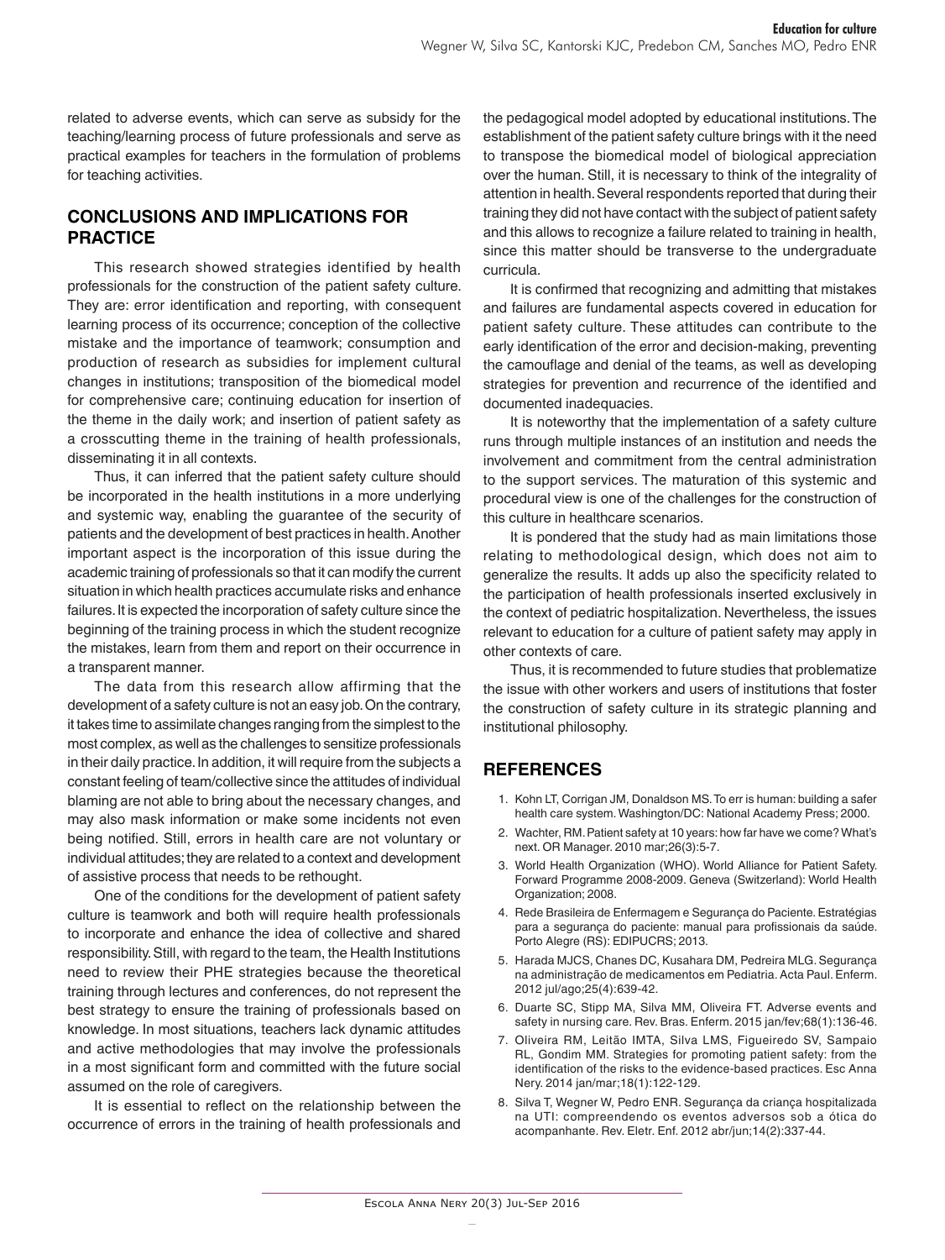related to adverse events, which can serve as subsidy for the teaching/learning process of future professionals and serve as practical examples for teachers in the formulation of problems for teaching activities.

# **CONCLUSIONS AND IMPLICATIONS FOR PRACTICE**

This research showed strategies identified by health professionals for the construction of the patient safety culture. They are: error identification and reporting, with consequent learning process of its occurrence; conception of the collective mistake and the importance of teamwork; consumption and production of research as subsidies for implement cultural changes in institutions; transposition of the biomedical model for comprehensive care; continuing education for insertion of the theme in the daily work; and insertion of patient safety as a crosscutting theme in the training of health professionals, disseminating it in all contexts.

Thus, it can inferred that the patient safety culture should be incorporated in the health institutions in a more underlying and systemic way, enabling the guarantee of the security of patients and the development of best practices in health. Another important aspect is the incorporation of this issue during the academic training of professionals so that it can modify the current situation in which health practices accumulate risks and enhance failures. It is expected the incorporation of safety culture since the beginning of the training process in which the student recognize the mistakes, learn from them and report on their occurrence in a transparent manner.

The data from this research allow affirming that the development of a safety culture is not an easy job. On the contrary, it takes time to assimilate changes ranging from the simplest to the most complex, as well as the challenges to sensitize professionals in their daily practice. In addition, it will require from the subjects a constant feeling of team/collective since the attitudes of individual blaming are not able to bring about the necessary changes, and may also mask information or make some incidents not even being notified. Still, errors in health care are not voluntary or individual attitudes; they are related to a context and development of assistive process that needs to be rethought.

One of the conditions for the development of patient safety culture is teamwork and both will require health professionals to incorporate and enhance the idea of collective and shared responsibility. Still, with regard to the team, the Health Institutions need to review their PHE strategies because the theoretical training through lectures and conferences, do not represent the best strategy to ensure the training of professionals based on knowledge. In most situations, teachers lack dynamic attitudes and active methodologies that may involve the professionals in a most significant form and committed with the future social assumed on the role of caregivers.

It is essential to reflect on the relationship between the occurrence of errors in the training of health professionals and

the pedagogical model adopted by educational institutions. The establishment of the patient safety culture brings with it the need to transpose the biomedical model of biological appreciation over the human. Still, it is necessary to think of the integrality of attention in health. Several respondents reported that during their training they did not have contact with the subject of patient safety and this allows to recognize a failure related to training in health, since this matter should be transverse to the undergraduate curricula.

It is confirmed that recognizing and admitting that mistakes and failures are fundamental aspects covered in education for patient safety culture. These attitudes can contribute to the early identification of the error and decision-making, preventing the camouflage and denial of the teams, as well as developing strategies for prevention and recurrence of the identified and documented inadequacies.

It is noteworthy that the implementation of a safety culture runs through multiple instances of an institution and needs the involvement and commitment from the central administration to the support services. The maturation of this systemic and procedural view is one of the challenges for the construction of this culture in healthcare scenarios.

It is pondered that the study had as main limitations those relating to methodological design, which does not aim to generalize the results. It adds up also the specificity related to the participation of health professionals inserted exclusively in the context of pediatric hospitalization. Nevertheless, the issues relevant to education for a culture of patient safety may apply in other contexts of care.

Thus, it is recommended to future studies that problematize the issue with other workers and users of institutions that foster the construction of safety culture in its strategic planning and institutional philosophy.

# **REFERENCES**

- 1. Kohn LT, Corrigan JM, Donaldson MS. To err is human: building a safer health care system. Washington/DC: National Academy Press; 2000.
- 2. Wachter, RM. Patient safety at 10 years: how far have we come? What's next. OR Manager. 2010 mar;26(3):5-7.
- 3. World Health Organization (WHO). World Alliance for Patient Safety. Forward Programme 2008-2009. Geneva (Switzerland): World Health Organization; 2008.
- 4. Rede Brasileira de Enfermagem e Segurança do Paciente. Estratégias para a segurança do paciente: manual para profissionais da saúde. Porto Alegre (RS): EDIPUCRS; 2013.
- 5. Harada MJCS, Chanes DC, Kusahara DM, Pedreira MLG. Segurança na administração de medicamentos em Pediatria. Acta Paul. Enferm. 2012 jul/ago;25(4):639-42.
- 6. Duarte SC, Stipp MA, Silva MM, Oliveira FT. Adverse events and safety in nursing care. Rev. Bras. Enferm. 2015 jan/fev;68(1):136-46.
- 7. Oliveira RM, Leitão IMTA, Silva LMS, Figueiredo SV, Sampaio RL, Gondim MM. Strategies for promoting patient safety: from the identification of the risks to the evidence-based practices. Esc Anna Nery. 2014 jan/mar;18(1):122-129.
- 8. Silva T, Wegner W, Pedro ENR. Segurança da criança hospitalizada na UTI: compreendendo os eventos adversos sob a ótica do acompanhante. Rev. Eletr. Enf. 2012 abr/jun;14(2):337-44.